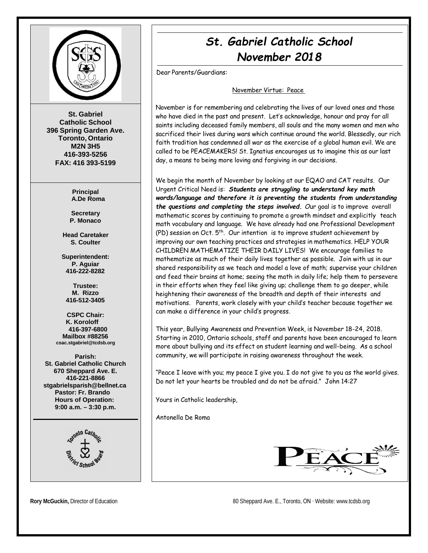

**St. Gabriel Catholic School 396 Spring Garden Ave. Toronto, Ontario M2N 3H5 416-393-5256 FAX: 416 393-5199**

> **Principal A.De Roma**

**Secretary P. Monaco**

**Head Caretaker S. Coulter**

**Superintendent: P. Aguiar 416-222-8282**

**Trustee: M. Rizzo 416-512-3405**

**CSPC Chair: K. Koroloff 416-397-6800 Mailbox #88256 [csac.stgabriel@tcdsb.org](mailto:csac.stgabriel@tcdsb.org)**

**Parish: St. Gabriel Catholic Church 670 Sheppard Ave. E. 416-221-8866 [stgabrielsparish@bellnet.ca](mailto:stgabrielsparish@bellnet.ca) Pastor: Fr. Brando Hours of Operation: 9:00 a.m. – 3:30 p.m.**



# *St. Gabriel Catholic School November 2018*

Dear Parents/Guardians:

November Virtue: Peace

November is for remembering and celebrating the lives of our loved ones and those who have died in the past and present. Let's acknowledge, honour and pray for all saints including deceased family members, all souls and the many women and men who sacrificed their lives during wars which continue around the world. Blessedly, our rich faith tradition has condemned all war as the exercise of a global human evil. We are called to be PEACEMAKERS! St. Ignatius encourages us to imagine this as our last day, a means to being more loving and forgiving in our decisions.

We begin the month of November by looking at our EQAO and CAT results. Our Urgent Critical Need is: *Students are struggling to understand key math words/language and therefore it is preventing the students from understanding the questions and completing the steps involved. O*ur goal is to improve overall mathematic scores by continuing to promote a growth mindset and explicitly teach math vocabulary and language. We have already had one Professional Development (PD) session on Oct.  $5<sup>th</sup>$ . Our intention is to improve student achievement by improving our own teaching practices and strategies in mathematics. HELP YOUR CHILDREN MATHEMATIZE THEIR DAILY LIVES! We encourage families to mathematize as much of their daily lives together as possible. Join with us in our shared responsibility as we teach and model a love of math; supervise your children and feed their brains at home; seeing the math in daily life; help them to persevere in their efforts when they feel like giving up; challenge them to go deeper, while heightening their awareness of the breadth and depth of their interests and motivations. Parents, work closely with your child's teacher because together we can make a difference in your child's progress.

This year, Bullying Awareness and Prevention Week, is November 18-24, 2018. Starting in 2010, Ontario schools, staff and parents have been encouraged to learn more about bullying and its effect on student learning and well-being. As a school community, we will participate in raising awareness throughout the week.

"Peace I leave with you; my peace I give you. I do not give to you as the world gives. Do not let your hearts be troubled and do not be afraid." John 14:27

Yours in Catholic leadership,

Antonella De Roma



**Rory McGuckin,** Director of Education 80 Sheppard Ave. E., Toronto, ON ∙ Website[: www.tcdsb.org](http://www.tcdsb.org/)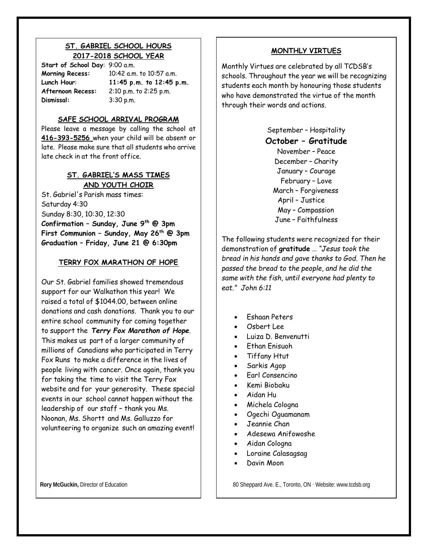## **ST. GABRIEL SCHOOL HOURS 2017-2018 SCHOOL YEAR**

**Start of School Day**: 9:00 a.m. **Dismissal:** 3:30 p.m.

**Morning Recess:** 10:42 a.m. to 10:57 a.m. **Lunch Hour**: **11:45 p.m. to 12:45 p.m. Afternoon Recess:** 2:10 p.m. to 2:25 p.m.

#### **SAFE SCHOOL ARRIVAL PROGRAM**

Please leave a message by calling the school at **416-393-5256** when your child will be absent or late. Please make sure that all students who arrive late check in at the front office.

# **ST. GABRIEL'S MASS TIMES AND YOUTH CHOIR**

St. Gabriel's Parish mass times: Saturday 4:30 Sunday 8:30, 10:30, 12:30 **Confirmation – Sunday, June 9th @ 3pm First Communion – Sunday, May 26th @ 3pm Graduation – Friday, June 21 @ 6:30pm**

# **TERRY FOX MARATHON OF HOPE**

Our St. Gabriel families showed tremendous support for our Walkathon this year! We raised a total of \$1044.00, between online donations and cash donations. Thank you to our entire school community for coming together to support the *Terry Fox Marathon of Hope*. This makes us part of a larger community of millions of Canadians who participated in Terry Fox Runs to make a difference in the lives of people living with cancer. Once again, thank you for taking the time to visit the Terry Fox website and for your generosity. These special events in our school cannot happen without the leadership of our staff – thank you Ms. Noonan, Ms. Shortt and Ms. Galluzzo for volunteering to organize such an amazing event!

### **MONTHLY VIRTUES**

Monthly Virtues are celebrated by all TCDSB's schools. Throughout the year we will be recognizing students each month by honouring those students who have demonstrated the virtue of the month through their words and actions.

> September – Hospitality **October – Gratitude** November – Peace December – Charity January – Courage February – Love March – Forgiveness April – Justice May – Compassion June – Faithfulness

The following students were recognized for their demonstration of **gratitude** … *"Jesus took the bread in his hands and gave thanks to God. Then he passed the bread to the people, and he did the same with the fish, until everyone had plenty to eat." John 6:11*

- Eshaan Peters
- Osbert Lee
- Luiza D. Benvenutti
- Ethan Enisuoh
- Tiffany Htut
- Sarkis Agop
- Earl Consencino
- Kemi Biobaku
- Aidan Hu
- Michela Cologna
- Ogechi Oguamanam
- Jeannie Chan
- Adesewa Anifowoshe
- Aidan Cologna
- Loraine Calasagsag
- Davin Moon

**Rory McGuckin,** Director of Education 80 Sheppard Ave. E., Toronto, ON ⋅ Website: [www.tcdsb.org](http://www.tcdsb.org/)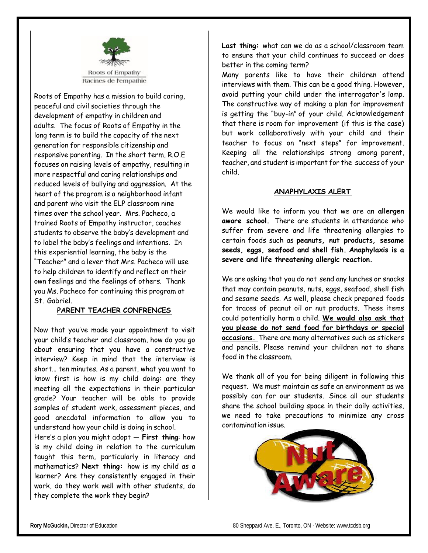

Roots of Empathy has a mission to build caring, peaceful and civil societies through the development of empathy in children and adults. The focus of Roots of Empathy in the long term is to build the capacity of the next generation for responsible citizenship and responsive parenting. In the short term, R.O.E focuses on raising levels of empathy, resulting in more respectful and caring relationships and reduced levels of bullying and aggression. At the heart of the program is a neighborhood infant and parent who visit the ELP classroom nine times over the school year. Mrs. Pacheco, a trained Roots of Empathy instructor, coaches students to observe the baby's development and to label the baby's feelings and intentions. In this experiential learning, the baby is the "Teacher" and a lever that Mrs. Pacheco will use to help children to identify and reflect on their own feelings and the feelings of others. Thank you Ms. Pacheco for continuing this program at St. Gabriel.

#### **PARENT TEACHER CONFRENCES**

Now that you've made your appointment to visit your child's teacher and classroom, how do you go about ensuring that you have a constructive interview? Keep in mind that the interview is short… ten minutes. As a parent, what you want to know first is how is my child doing: are they meeting all the expectations in their particular grade? Your teacher will be able to provide samples of student work, assessment pieces, and good anecdotal information to allow you to understand how your child is doing in school.

Here's a plan you might adopt — **First thing**: how is my child doing in relation to the curriculum taught this term, particularly in literacy and mathematics? **Next thing:** how is my child as a learner? Are they consistently engaged in their work, do they work well with other students, do they complete the work they begin?

**Last thing:** what can we do as a school/classroom team to ensure that your child continues to succeed or does better in the coming term?

Many parents like to have their children attend interviews with them. This can be a good thing. However, avoid putting your child under the interrogator's lamp. The constructive way of making a plan for improvement is getting the "buy-in" of your child. Acknowledgement that there is room for improvement (if this is the case) but work collaboratively with your child and their teacher to focus on "next steps" for improvement. Keeping all the relationships strong among parent, teacher, and student is important for the success of your child.

#### **ANAPHYLAXIS ALERT**

We would like to inform you that we are an **allergen aware school.** There are students in attendance who suffer from severe and life threatening allergies to certain foods such as **peanuts, nut products, sesame seeds, eggs, seafood and shell fish. Anaphylaxis is a severe and life threatening allergic reaction.**

We are asking that you do not send any lunches or snacks that may contain peanuts, nuts, eggs, seafood, shell fish and sesame seeds. As well, please check prepared foods for traces of peanut oil or nut products. These items could potentially harm a child. **We would also ask that you please do not send food for birthdays or special occasions.** There are many alternatives such as stickers and pencils. Please remind your children not to share food in the classroom.

We thank all of you for being diligent in following this request. We must maintain as safe an environment as we possibly can for our students. Since all our students share the school building space in their daily activities, we need to take precautions to minimize any cross contamination issue.

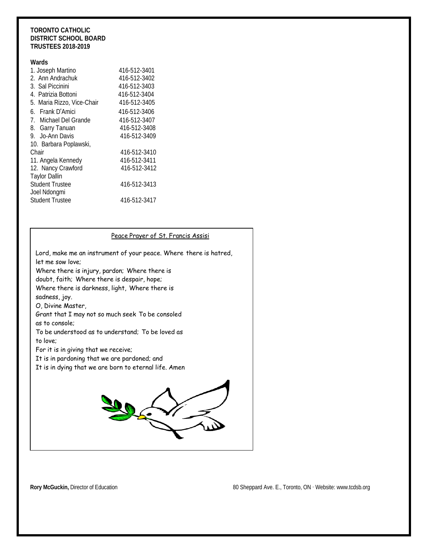#### **TORONTO CATHOLIC DISTRICT SCHOOL BOARD TRUSTEES 2018-2019**

#### **Wards**

| 1. Joseph Martino          | 416-512-3401 |
|----------------------------|--------------|
| 2. Ann Andrachuk           | 416-512-3402 |
| 3. Sal Piccinini           | 416-512-3403 |
| 4. Patrizia Bottoni        | 416-512-3404 |
| 5. Maria Rizzo, Vice-Chair | 416-512-3405 |
| 6. Frank D'Amici           | 416-512-3406 |
| 7. Michael Del Grande      | 416-512-3407 |
| 8. Garry Tanuan            | 416-512-3408 |
| 9. Jo-Ann Davis            | 416-512-3409 |
| 10. Barbara Poplawski,     |              |
| Chair                      | 416-512-3410 |
| 11. Angela Kennedy         | 416-512-3411 |
| 12. Nancy Crawford         | 416-512-3412 |
| <b>Taylor Dallin</b>       |              |
| <b>Student Trustee</b>     | 416-512-3413 |
| Joel Ndongmi               |              |
| <b>Student Trustee</b>     | 416-512-3417 |

| Peace Prayer of St. Francis Assisi                                                    |  |
|---------------------------------------------------------------------------------------|--|
| Lord, make me an instrument of your peace. Where there is hatred,<br>let me sow love: |  |
| Where there is injury, pardon; Where there is                                         |  |
| doubt, faith; Where there is despair, hope;                                           |  |
| Where there is darkness, light, Where there is                                        |  |
| sadness, joy.                                                                         |  |
| O, Divine Master,                                                                     |  |
| Grant that I may not so much seek To be consoled                                      |  |
| as to console:                                                                        |  |
| To be understood as to understand; To be loved as                                     |  |
| to love:                                                                              |  |
| For it is in giving that we receive;                                                  |  |
| It is in pardoning that we are pardoned; and                                          |  |
| It is in dying that we are born to eternal life. Amen                                 |  |
|                                                                                       |  |

**Rory McGuckin, Director of Education 80 Sheppard Ave. E., Toronto, ON ⋅ Website: [www.tcdsb.org](http://www.tcdsb.org/)**